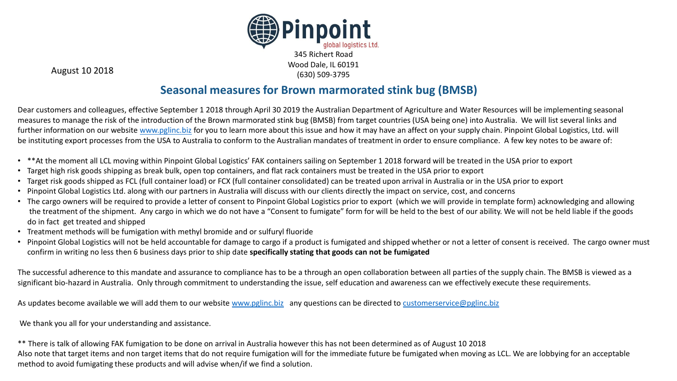

August 10 2018

#### **Seasonal measures for Brown marmorated stink bug (BMSB)**

Dear customers and colleagues, effective September 1 2018 through April 30 2019 the Australian Department of Agriculture and Water Resources will be implementing seasonal measures to manage the risk of the introduction of the Brown marmorated stink bug (BMSB) from target countries (USA being one) into Australia. We will list several links and further information on our website [www.pglinc.biz](http://www.pglinc.biz/) for you to learn more about this issue and how it may have an affect on your supply chain. Pinpoint Global Logistics, Ltd. will be instituting export processes from the USA to Australia to conform to the Australian mandates of treatment in order to ensure compliance. A few key notes to be aware of:

- \*\*At the moment all LCL moving within Pinpoint Global Logistics' FAK containers sailing on September 1 2018 forward will be treated in the USA prior to export
- Target high risk goods shipping as break bulk, open top containers, and flat rack containers must be treated in the USA prior to export
- Target risk goods shipped as FCL (full container load) or FCX (full container consolidated) can be treated upon arrival in Australia or in the USA prior to export
- Pinpoint Global Logistics Ltd. along with our partners in Australia will discuss with our clients directly the impact on service, cost, and concerns
- The cargo owners will be required to provide a letter of consent to Pinpoint Global Logistics prior to export (which we will provide in template form) acknowledging and allowing the treatment of the shipment. Any cargo in which we do not have a "Consent to fumigate" form for will be held to the best of our ability. We will not be held liable if the goods do in fact get treated and shipped
- Treatment methods will be fumigation with methyl bromide and or sulfuryl fluoride
- Pinpoint Global Logistics will not be held accountable for damage to cargo if a product is fumigated and shipped whether or not a letter of consent is received. The cargo owner must confirm in writing no less then 6 business days prior to ship date **specifically stating that goods can not be fumigated**

The successful adherence to this mandate and assurance to compliance has to be a through an open collaboration between all parties of the supply chain. The BMSB is viewed as a significant bio-hazard in Australia. Only through commitment to understanding the issue, self education and awareness can we effectively execute these requirements.

As updates become available we will add them to our website [www.pglinc.biz](http://www.pglinc.biz/) any questions can be directed to [customerservice@pglinc.biz](mailto:customerservice@pglinc.biz)

We thank you all for your understanding and assistance.

\*\* There is talk of allowing FAK fumigation to be done on arrival in Australia however this has not been determined as of August 10 2018 Also note that target items and non target items that do not require fumigation will for the immediate future be fumigated when moving as LCL. We are lobbying for an acceptable method to avoid fumigating these products and will advise when/if we find a solution.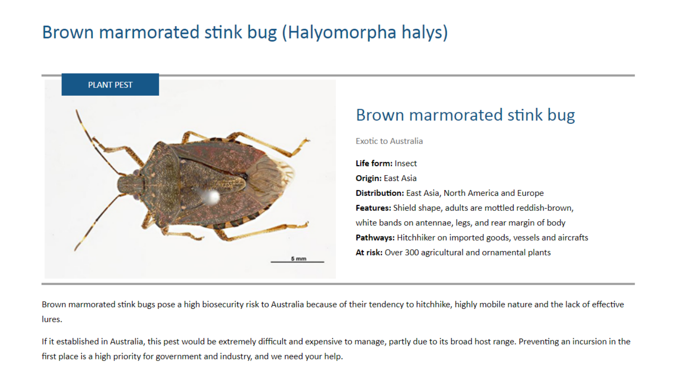# Brown marmorated stink bug (Halyomorpha halys)



## Brown marmorated stink bug

**Exotic to Australia** 

Life form: Insect **Origin:** East Asia Distribution: East Asia, North America and Europe Features: Shield shape, adults are mottled reddish-brown, white bands on antennae, legs, and rear margin of body Pathways: Hitchhiker on imported goods, vessels and aircrafts At risk: Over 300 agricultural and ornamental plants

Brown marmorated stink bugs pose a high biosecurity risk to Australia because of their tendency to hitchhike, highly mobile nature and the lack of effective lures.

If it established in Australia, this pest would be extremely difficult and expensive to manage, partly due to its broad host range. Preventing an incursion in the first place is a high priority for government and industry, and we need your help.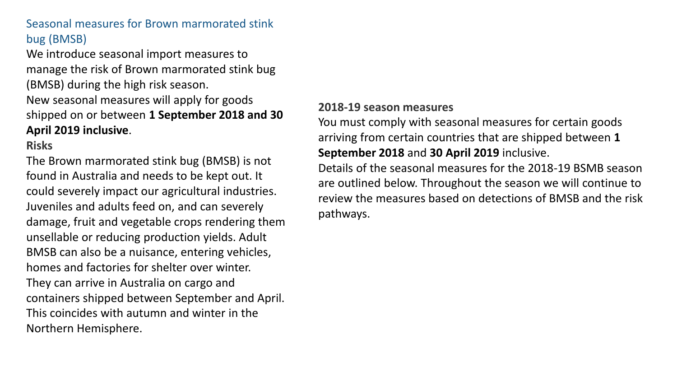## Seasonal measures for Brown marmorated stink bug (BMSB)

We introduce seasonal import measures to manage the risk of Brown marmorated stink bug (BMSB) during the high risk season. New seasonal measures will apply for goods shipped on or between **1 September 2018 and 30 April 2019 inclusive**.

**Risks**

The Brown marmorated stink bug (BMSB) is not found in Australia and needs to be kept out. It could severely impact our agricultural industries. Juveniles and adults feed on, and can severely damage, fruit and vegetable crops rendering them unsellable or reducing production yields. Adult BMSB can also be a nuisance, entering vehicles, homes and factories for shelter over winter. They can arrive in Australia on cargo and containers shipped between September and April. This coincides with autumn and winter in the Northern Hemisphere.

#### **2018-19 season measures**

You must comply with seasonal measures for certain goods arriving from certain countries that are shipped between **1 September 2018** and **30 April 2019** inclusive.

Details of the seasonal measures for the 2018-19 BSMB season are outlined below. Throughout the season we will continue to review the measures based on detections of BMSB and the risk pathways.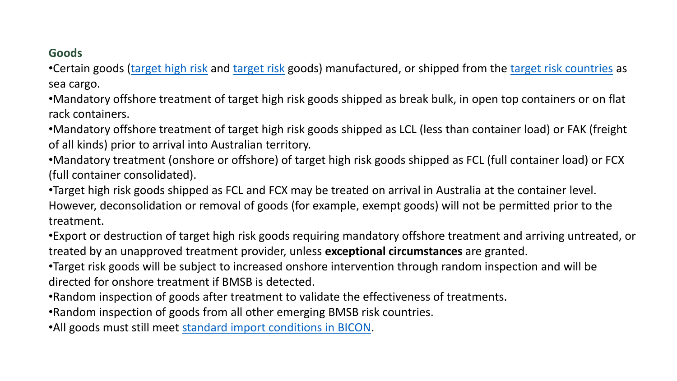#### **Goods**

•Certain goods ([target high risk](http://www.agriculture.gov.au/import/before/pests/brown-marmorated-stink-bugs#target-high-risk) and [target risk](http://www.agriculture.gov.au/import/before/pests/brown-marmorated-stink-bugs#target-risk-goods) goods) manufactured, or shipped from the [target risk countries](http://www.agriculture.gov.au/import/before/pests/brown-marmorated-stink-bugs#target-risk-countries) as sea cargo.

•Mandatory offshore treatment of target high risk goods shipped as break bulk, in open top containers or on flat rack containers.

•Mandatory offshore treatment of target high risk goods shipped as LCL (less than container load) or FAK (freight of all kinds) prior to arrival into Australian territory.

•Mandatory treatment (onshore or offshore) of target high risk goods shipped as FCL (full container load) or FCX (full container consolidated).

•Target high risk goods shipped as FCL and FCX may be treated on arrival in Australia at the container level. However, deconsolidation or removal of goods (for example, exempt goods) will not be permitted prior to the treatment.

•Export or destruction of target high risk goods requiring mandatory offshore treatment and arriving untreated, or treated by an unapproved treatment provider, unless **exceptional circumstances** are granted.

•Target risk goods will be subject to increased onshore intervention through random inspection and will be directed for onshore treatment if BMSB is detected.

•Random inspection of goods after treatment to validate the effectiveness of treatments.

•Random inspection of goods from all other emerging BMSB risk countries.

•All goods must still meet [standard import conditions in BICON](http://biconnet.daff.gov.au/BICONWeb).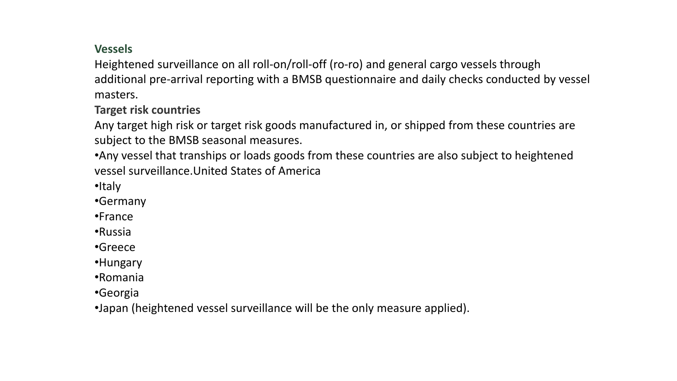### **Vessels**

Heightened surveillance on all roll-on/roll-off (ro-ro) and general cargo vessels through additional pre-arrival reporting with a BMSB questionnaire and daily checks conducted by vessel masters.

**Target risk countries**

Any target high risk or target risk goods manufactured in, or shipped from these countries are subject to the BMSB seasonal measures.

•Any vessel that tranships or loads goods from these countries are also subject to heightened vessel surveillance.United States of America

•Italy

•Germany

•France

•Russia

•Greece

•Hungary

•Romania

•Georgia

•Japan (heightened vessel surveillance will be the only measure applied).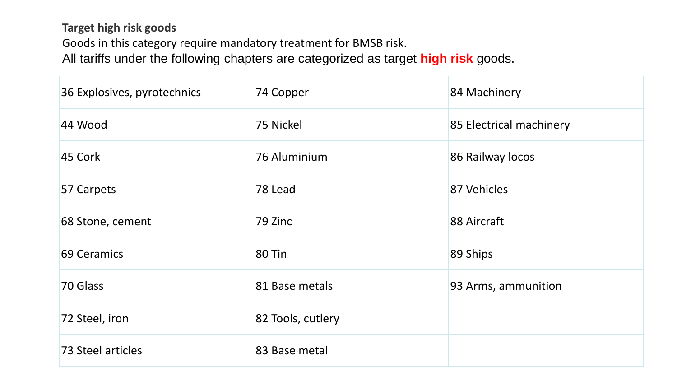## **Target high risk goods** Goods in this category require mandatory treatment for BMSB risk. All tariffs under the following chapters are categorized as target **high risk** goods.

| 36 Explosives, pyrotechnics | 74 Copper         | 84 Machinery            |
|-----------------------------|-------------------|-------------------------|
| 44 Wood                     | 75 Nickel         | 85 Electrical machinery |
| 45 Cork                     | 76 Aluminium      | 86 Railway locos        |
| 57 Carpets                  | 78 Lead           | 87 Vehicles             |
| 68 Stone, cement            | 79 Zinc           | 88 Aircraft             |
| 69 Ceramics                 | 80 Tin            | 89 Ships                |
| 70 Glass                    | 81 Base metals    | 93 Arms, ammunition     |
| 72 Steel, iron              | 82 Tools, cutlery |                         |
| 73 Steel articles           | 83 Base metal     |                         |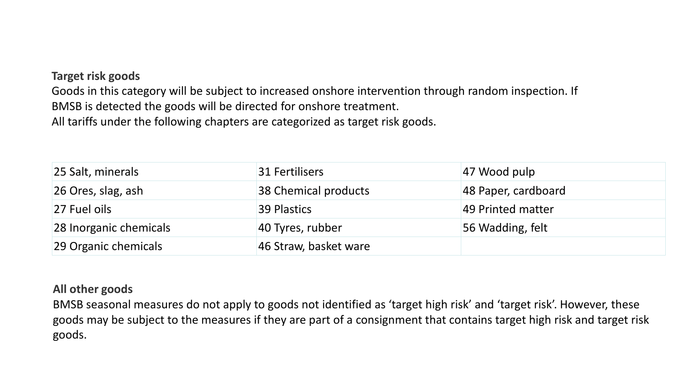#### **Target risk goods**

Goods in this category will be subject to increased onshore intervention through random inspection. If BMSB is detected the goods will be directed for onshore treatment. All tariffs under the following chapters are categorized as target risk goods.

| 25 Salt, minerals      | 31 Fertilisers        | 47 Wood pulp        |
|------------------------|-----------------------|---------------------|
| 26 Ores, slag, ash     | 38 Chemical products  | 48 Paper, cardboard |
| 27 Fuel oils           | 39 Plastics           | 49 Printed matter   |
| 28 Inorganic chemicals | 40 Tyres, rubber      | 56 Wadding, felt    |
| 29 Organic chemicals   | 46 Straw, basket ware |                     |

#### **All other goods**

BMSB seasonal measures do not apply to goods not identified as 'target high risk' and 'target risk'. However, these goods may be subject to the measures if they are part of a consignment that contains target high risk and target risk goods.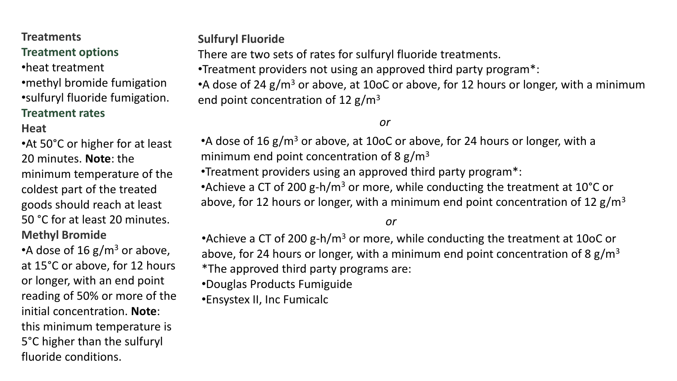#### **Treatments Treatment options**

•heat treatment •methyl bromide fumigation •sulfuryl fluoride fumigation. **Treatment rates**

#### **Heat**

•At 50°C or higher for at least 20 minutes. **Note**: the minimum temperature of the coldest part of the treated goods should reach at least 50 °C for at least 20 minutes. **Methyl Bromide**

•A dose of 16  $\rm g/m^3$  or above, at 15°C or above, for 12 hours or longer, with an end point reading of 50% or more of the initial concentration. **Note**: this minimum temperature is 5°C higher than the sulfuryl fluoride conditions.

**Sulfuryl Fluoride**

There are two sets of rates for sulfuryl fluoride treatments.

•Treatment providers not using an approved third party program\*:

•A dose of 24  $g/m<sup>3</sup>$  or above, at 10oC or above, for 12 hours or longer, with a minimum end point concentration of 12  $g/m<sup>3</sup>$ 

*or*

•A dose of 16 g/m<sup>3</sup> or above, at 10oC or above, for 24 hours or longer, with a minimum end point concentration of 8  $g/m<sup>3</sup>$ 

•Treatment providers using an approved third party program\*:

•Achieve a CT of 200 g-h/m<sup>3</sup> or more, while conducting the treatment at 10<sup>o</sup>C or above, for 12 hours or longer, with a minimum end point concentration of 12  $g/m<sup>3</sup>$ 

*or*

• Achieve a CT of 200 g-h/ $m<sup>3</sup>$  or more, while conducting the treatment at 10oC or above, for 24 hours or longer, with a minimum end point concentration of 8  $g/m<sup>3</sup>$ \*The approved third party programs are:

•Douglas Products Fumiguide

•Ensystex II, Inc Fumicalc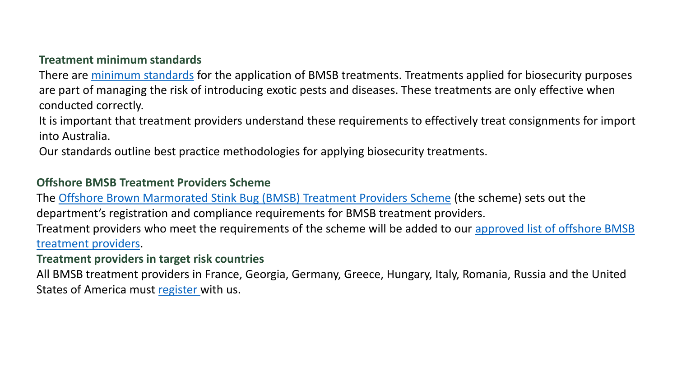#### **Treatment minimum standards**

There are [minimum standards](http://www.agriculture.gov.au/import/arrival/treatments/treatments-fumigants) for the application of BMSB treatments. Treatments applied for biosecurity purposes are part of managing the risk of introducing exotic pests and diseases. These treatments are only effective when conducted correctly.

It is important that treatment providers understand these requirements to effectively treat consignments for import into Australia.

Our standards outline best practice methodologies for applying biosecurity treatments.

#### **Offshore BMSB Treatment Providers Scheme**

The Offshore Brown Marmorated [Stink Bug \(BMSB\) Treatment Providers Scheme](http://www.agriculture.gov.au/import/before/pests/brown-marmorated-stink-bugs/offshore-treatment-providers) (the scheme) sets out the department's registration and compliance requirements for BMSB treatment providers.

[Treatment providers who meet the requirements of the scheme will be added to our](http://www.agriculture.gov.au/import/before/pests/brown-marmorated-stink-bugs/offshore-treatment-providers) approved list of offshore BMSB treatment providers.

#### **Treatment providers in target risk countries**

All BMSB treatment providers in France, Georgia, Germany, Greece, Hungary, Italy, Romania, Russia and the United States of America must [register](http://www.agriculture.gov.au/import/before/pests/brown-marmorated-stink-bugs/offshore-treatment-providers) with us.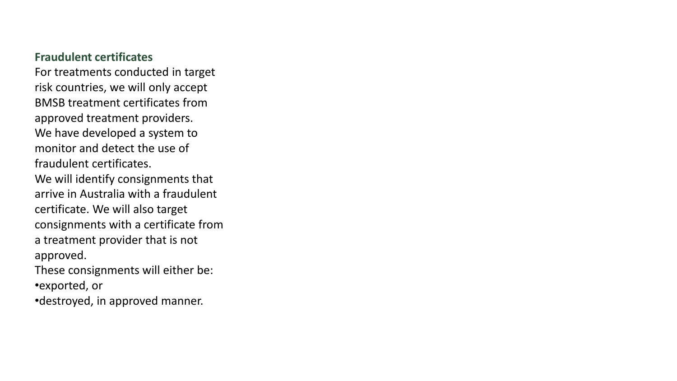#### **Fraudulent certificates**

For treatments conducted in target risk countries, we will only accept BMSB treatment certificates from approved treatment providers. We have developed a system to monitor and detect the use of fraudulent certificates. We will identify consignments that arrive in Australia with a fraudulent certificate. We will also target consignments with a certificate from a treatment provider that is not approved. These consignments will either be:

•exported, or

•destroyed, in approved manner.